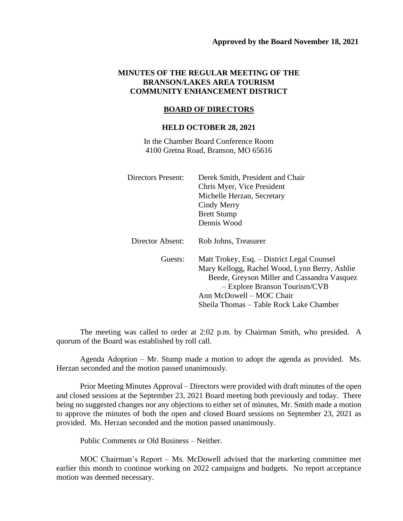## **MINUTES OF THE REGULAR MEETING OF THE BRANSON/LAKES AREA TOURISM COMMUNITY ENHANCEMENT DISTRICT**

## **BOARD OF DIRECTORS**

## **HELD OCTOBER 28, 2021**

In the Chamber Board Conference Room 4100 Gretna Road, Branson, MO 65616

| <b>Directors Present:</b> | Derek Smith, President and Chair              |
|---------------------------|-----------------------------------------------|
|                           | Chris Myer, Vice President                    |
|                           | Michelle Herzan, Secretary                    |
|                           | Cindy Merry                                   |
|                           | <b>Brett Stump</b>                            |
|                           | Dennis Wood                                   |
| Director Absent:          | Rob Johns, Treasurer                          |
| Guests:                   | Matt Trokey, Esq. – District Legal Counsel    |
|                           | Mary Kellogg, Rachel Wood, Lynn Berry, Ashlie |
|                           | Beede, Greyson Miller and Cassandra Vasquez   |
|                           | - Explore Branson Tourism/CVB                 |
|                           | Ann McDowell – MOC Chair                      |
|                           | Sheila Thomas – Table Rock Lake Chamber       |

The meeting was called to order at 2:02 p.m. by Chairman Smith, who presided. A quorum of the Board was established by roll call.

Agenda Adoption – Mr. Stump made a motion to adopt the agenda as provided. Ms. Herzan seconded and the motion passed unanimously.

Prior Meeting Minutes Approval – Directors were provided with draft minutes of the open and closed sessions at the September 23, 2021 Board meeting both previously and today. There being no suggested changes nor any objections to either set of minutes, Mr. Smith made a motion to approve the minutes of both the open and closed Board sessions on September 23, 2021 as provided. Ms. Herzan seconded and the motion passed unanimously.

Public Comments or Old Business – Neither.

MOC Chairman's Report – Ms. McDowell advised that the marketing committee met earlier this month to continue working on 2022 campaigns and budgets. No report acceptance motion was deemed necessary.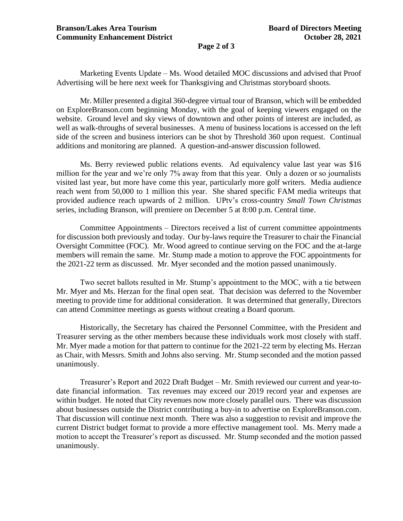**Page 2 of 3**

Marketing Events Update – Ms. Wood detailed MOC discussions and advised that Proof Advertising will be here next week for Thanksgiving and Christmas storyboard shoots.

Mr. Miller presented a digital 360-degree virtual tour of Branson, which will be embedded on ExploreBranson.com beginning Monday, with the goal of keeping viewers engaged on the website. Ground level and sky views of downtown and other points of interest are included, as well as walk-throughs of several businesses. A menu of business locations is accessed on the left side of the screen and business interiors can be shot by Threshold 360 upon request. Continual additions and monitoring are planned. A question-and-answer discussion followed.

Ms. Berry reviewed public relations events. Ad equivalency value last year was \$16 million for the year and we're only 7% away from that this year. Only a dozen or so journalists visited last year, but more have come this year, particularly more golf writers. Media audience reach went from 50,000 to 1 million this year. She shared specific FAM media writeups that provided audience reach upwards of 2 million. UPtv's cross-country *Small Town Christmas* series, including Branson, will premiere on December 5 at 8:00 p.m. Central time.

Committee Appointments – Directors received a list of current committee appointments for discussion both previously and today. Our by-laws require the Treasurer to chair the Financial Oversight Committee (FOC). Mr. Wood agreed to continue serving on the FOC and the at-large members will remain the same. Mr. Stump made a motion to approve the FOC appointments for the 2021-22 term as discussed. Mr. Myer seconded and the motion passed unanimously.

Two secret ballots resulted in Mr. Stump's appointment to the MOC, with a tie between Mr. Myer and Ms. Herzan for the final open seat. That decision was deferred to the November meeting to provide time for additional consideration. It was determined that generally, Directors can attend Committee meetings as guests without creating a Board quorum.

Historically, the Secretary has chaired the Personnel Committee, with the President and Treasurer serving as the other members because these individuals work most closely with staff. Mr. Myer made a motion for that pattern to continue for the 2021-22 term by electing Ms. Herzan as Chair, with Messrs. Smith and Johns also serving. Mr. Stump seconded and the motion passed unanimously.

Treasurer's Report and 2022 Draft Budget – Mr. Smith reviewed our current and year-todate financial information. Tax revenues may exceed our 2019 record year and expenses are within budget. He noted that City revenues now more closely parallel ours. There was discussion about businesses outside the District contributing a buy-in to advertise on ExploreBranson.com. That discussion will continue next month. There was also a suggestion to revisit and improve the current District budget format to provide a more effective management tool. Ms. Merry made a motion to accept the Treasurer's report as discussed. Mr. Stump seconded and the motion passed unanimously.